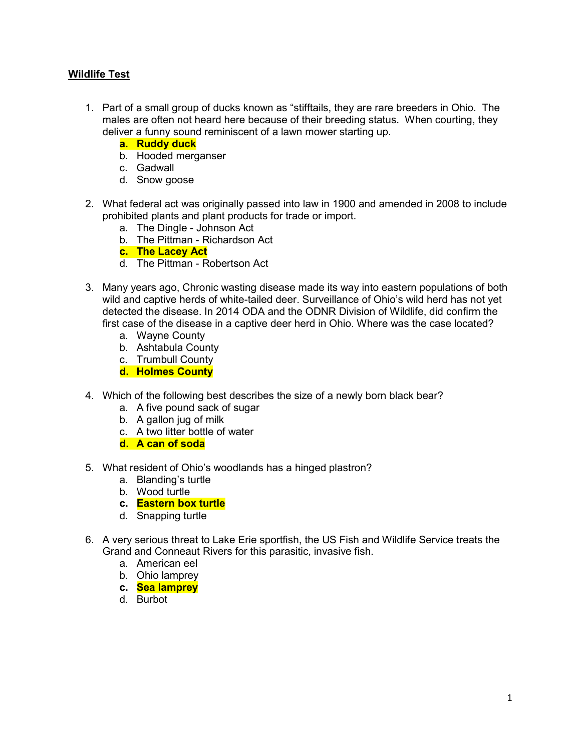## Wildlife Test

- 1. Part of a small group of ducks known as "stifftails, they are rare breeders in Ohio. The males are often not heard here because of their breeding status. When courting, they deliver a funny sound reminiscent of a lawn mower starting up.
	- a. Ruddy duck
	- b. Hooded merganser
	- c. Gadwall
	- d. Snow goose
- 2. What federal act was originally passed into law in 1900 and amended in 2008 to include prohibited plants and plant products for trade or import.
	- a. The Dingle Johnson Act
	- b. The Pittman Richardson Act
	- c. The Lacey Act
	- d. The Pittman Robertson Act
- 3. Many years ago, Chronic wasting disease made its way into eastern populations of both wild and captive herds of white-tailed deer. Surveillance of Ohio's wild herd has not yet detected the disease. In 2014 ODA and the ODNR Division of Wildlife, did confirm the first case of the disease in a captive deer herd in Ohio. Where was the case located?
	- a. Wayne County
	- b. Ashtabula County
	- c. Trumbull County
	- d. Holmes County
- 4. Which of the following best describes the size of a newly born black bear?
	- a. A five pound sack of sugar
	- b. A gallon jug of milk
	- c. A two litter bottle of water
	- d. A can of soda
- 5. What resident of Ohio's woodlands has a hinged plastron?
	- a. Blanding's turtle
	- b. Wood turtle
	- c. Eastern box turtle
	- d. Snapping turtle
- 6. A very serious threat to Lake Erie sportfish, the US Fish and Wildlife Service treats the Grand and Conneaut Rivers for this parasitic, invasive fish.
	- a. American eel
	- b. Ohio lamprey
	- c. Sea lamprey
	- d. Burbot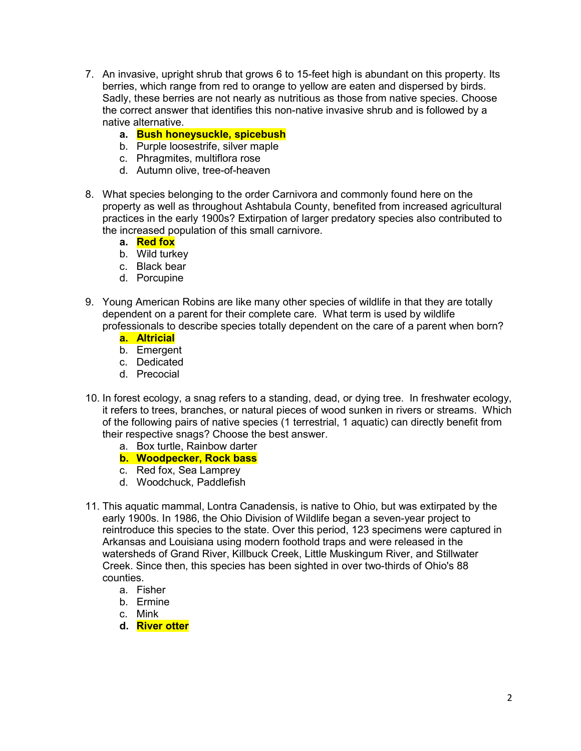- 7. An invasive, upright shrub that grows 6 to 15-feet high is abundant on this property. Its berries, which range from red to orange to yellow are eaten and dispersed by birds. Sadly, these berries are not nearly as nutritious as those from native species. Choose the correct answer that identifies this non-native invasive shrub and is followed by a native alternative.
	- a. Bush honeysuckle, spicebush
	- b. Purple loosestrife, silver maple
	- c. Phragmites, multiflora rose
	- d. Autumn olive, tree-of-heaven
- 8. What species belonging to the order Carnivora and commonly found here on the property as well as throughout Ashtabula County, benefited from increased agricultural practices in the early 1900s? Extirpation of larger predatory species also contributed to the increased population of this small carnivore.
	- a. Red fox
	- b. Wild turkey
	- c. Black bear
	- d. Porcupine
- 9. Young American Robins are like many other species of wildlife in that they are totally dependent on a parent for their complete care. What term is used by wildlife professionals to describe species totally dependent on the care of a parent when born?
	- a. Altricial
	- b. Emergent
	- c. Dedicated
	- d. Precocial
- 10. In forest ecology, a snag refers to a standing, dead, or dying tree. In freshwater ecology, it refers to trees, branches, or natural pieces of wood sunken in rivers or streams. Which of the following pairs of native species (1 terrestrial, 1 aquatic) can directly benefit from their respective snags? Choose the best answer.
	- a. Box turtle, Rainbow darter
	- b. Woodpecker, Rock bass
	- c. Red fox, Sea Lamprey
	- d. Woodchuck, Paddlefish
- 11. This aquatic mammal, Lontra Canadensis, is native to Ohio, but was extirpated by the early 1900s. In 1986, the Ohio Division of Wildlife began a seven-year project to reintroduce this species to the state. Over this period, 123 specimens were captured in Arkansas and Louisiana using modern foothold traps and were released in the watersheds of Grand River, Killbuck Creek, Little Muskingum River, and Stillwater Creek. Since then, this species has been sighted in over two-thirds of Ohio's 88 counties.
	- a. Fisher
	- b. Ermine
	- c. Mink
	- d. River otter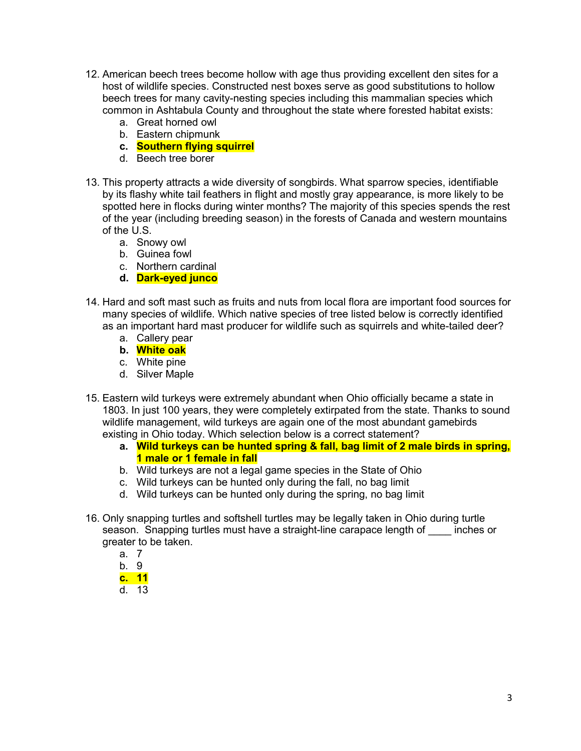- 12. American beech trees become hollow with age thus providing excellent den sites for a host of wildlife species. Constructed nest boxes serve as good substitutions to hollow beech trees for many cavity-nesting species including this mammalian species which common in Ashtabula County and throughout the state where forested habitat exists:
	- a. Great horned owl
	- b. Eastern chipmunk
	- c. Southern flying squirrel
	- d. Beech tree borer
- 13. This property attracts a wide diversity of songbirds. What sparrow species, identifiable by its flashy white tail feathers in flight and mostly gray appearance, is more likely to be spotted here in flocks during winter months? The majority of this species spends the rest of the year (including breeding season) in the forests of Canada and western mountains of the U.S.
	- a. Snowy owl
	- b. Guinea fowl
	- c. Northern cardinal
	- d. Dark-eyed junco
- 14. Hard and soft mast such as fruits and nuts from local flora are important food sources for many species of wildlife. Which native species of tree listed below is correctly identified as an important hard mast producer for wildlife such as squirrels and white-tailed deer?
	- a. Callery pear
	- b. White oak
	- c. White pine
	- d. Silver Maple
- 15. Eastern wild turkeys were extremely abundant when Ohio officially became a state in 1803. In just 100 years, they were completely extirpated from the state. Thanks to sound wildlife management, wild turkeys are again one of the most abundant gamebirds existing in Ohio today. Which selection below is a correct statement?
	- a. Wild turkeys can be hunted spring & fall, bag limit of 2 male birds in spring, 1 male or 1 female in fall
	- b. Wild turkeys are not a legal game species in the State of Ohio
	- c. Wild turkeys can be hunted only during the fall, no bag limit
	- d. Wild turkeys can be hunted only during the spring, no bag limit
- 16. Only snapping turtles and softshell turtles may be legally taken in Ohio during turtle season. Snapping turtles must have a straight-line carapace length of inches or greater to be taken.
	- a. 7
	- b. 9
	- c. 11
	- d. 13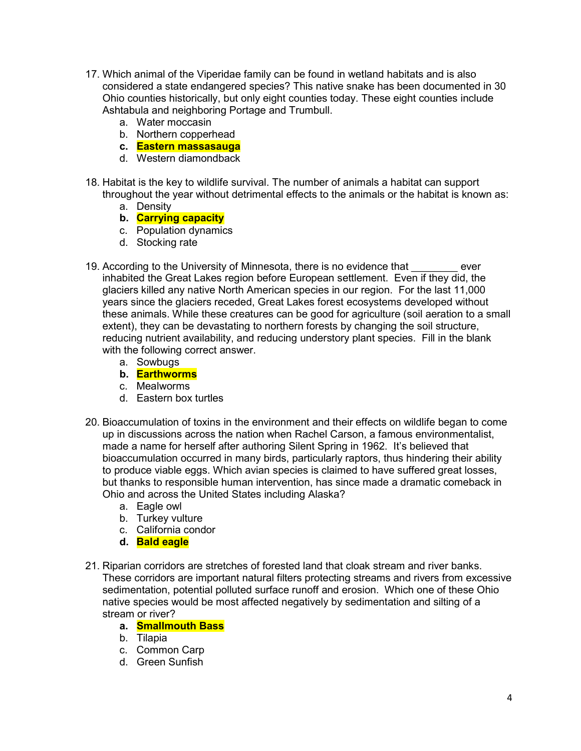- 17. Which animal of the Viperidae family can be found in wetland habitats and is also considered a state endangered species? This native snake has been documented in 30 Ohio counties historically, but only eight counties today. These eight counties include Ashtabula and neighboring Portage and Trumbull.
	- a. Water moccasin
	- b. Northern copperhead
	- c. Eastern massasauga
	- d. Western diamondback
- 18. Habitat is the key to wildlife survival. The number of animals a habitat can support throughout the year without detrimental effects to the animals or the habitat is known as:
	- a. Density
	- b. Carrying capacity
	- c. Population dynamics
	- d. Stocking rate
- 19. According to the University of Minnesota, there is no evidence that ever inhabited the Great Lakes region before European settlement. Even if they did, the glaciers killed any native North American species in our region. For the last 11,000 years since the glaciers receded, Great Lakes forest ecosystems developed without these animals. While these creatures can be good for agriculture (soil aeration to a small extent), they can be devastating to northern forests by changing the soil structure, reducing nutrient availability, and reducing understory plant species. Fill in the blank with the following correct answer.
	- a. Sowbugs
	- b. Earthworms
	- c. Mealworms
	- d. Eastern box turtles
- 20. Bioaccumulation of toxins in the environment and their effects on wildlife began to come up in discussions across the nation when Rachel Carson, a famous environmentalist, made a name for herself after authoring Silent Spring in 1962. It's believed that bioaccumulation occurred in many birds, particularly raptors, thus hindering their ability to produce viable eggs. Which avian species is claimed to have suffered great losses, but thanks to responsible human intervention, has since made a dramatic comeback in Ohio and across the United States including Alaska?
	- a. Eagle owl
	- b. Turkey vulture
	- c. California condor
	- d. Bald eagle
- 21. Riparian corridors are stretches of forested land that cloak stream and river banks. These corridors are important natural filters protecting streams and rivers from excessive sedimentation, potential polluted surface runoff and erosion. Which one of these Ohio native species would be most affected negatively by sedimentation and silting of a stream or river?
	- a. Smallmouth Bass
	- b. Tilapia
	- c. Common Carp
	- d. Green Sunfish